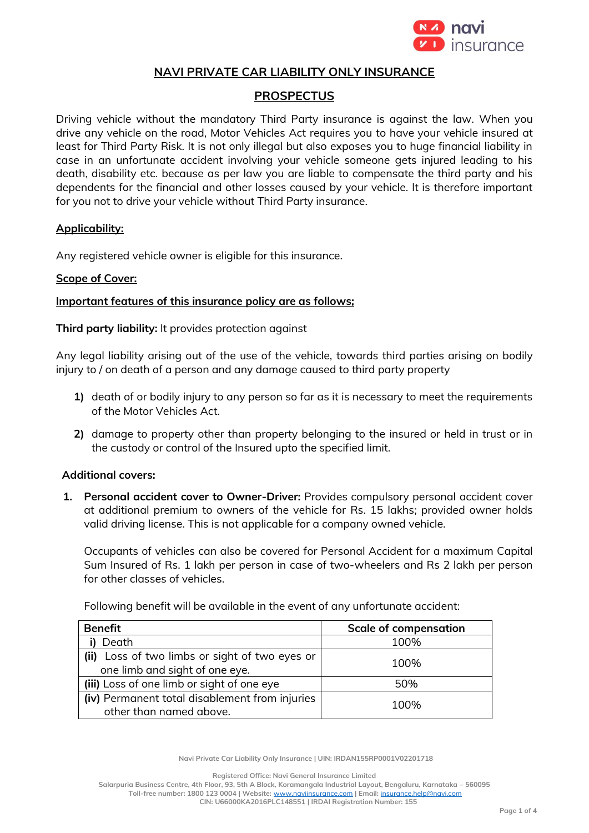

## **NAVI PRIVATE CAR LIABILITY ONLY INSURANCE**

# **PROSPECTUS**

Driving vehicle without the mandatory Third Party insurance is against the law. When you drive any vehicle on the road, Motor Vehicles Act requires you to have your vehicle insured at least for Third Party Risk. It is not only illegal but also exposes you to huge financial liability in case in an unfortunate accident involving your vehicle someone gets injured leading to his death, disability etc. because as per law you are liable to compensate the third party and his dependents for the financial and other losses caused by your vehicle. It is therefore important for you not to drive your vehicle without Third Party insurance.

#### **Applicability:**

Any registered vehicle owner is eligible for this insurance.

### **Scope of Cover:**

#### **Important features of this insurance policy are as follows;**

**Third party liability:** It provides protection against

Any legal liability arising out of the use of the vehicle, towards third parties arising on bodily injury to / on death of a person and any damage caused to third party property

- **1)** death of or bodily injury to any person so far as it is necessary to meet the requirements of the Motor Vehicles Act.
- **2)** damage to property other than property belonging to the insured or held in trust or in the custody or control of the Insured upto the specified limit.

### **Additional covers:**

**1. Personal accident cover to Owner-Driver:** Provides compulsory personal accident cover at additional premium to owners of the vehicle for Rs. 15 lakhs; provided owner holds valid driving license. This is not applicable for a company owned vehicle.

Occupants of vehicles can also be covered for Personal Accident for a maximum Capital Sum Insured of Rs. 1 lakh per person in case of two-wheelers and Rs 2 lakh per person for other classes of vehicles.

Following benefit will be available in the event of any unfortunate accident:

| <b>Benefit</b>                                 | <b>Scale of compensation</b> |
|------------------------------------------------|------------------------------|
| Death                                          | 100%                         |
| (ii) Loss of two limbs or sight of two eyes or | 100%                         |
| one limb and sight of one eye.                 |                              |
| (iii) Loss of one limb or sight of one eye     | 50%                          |
| (iv) Permanent total disablement from injuries | 100%                         |
| other than named above.                        |                              |

**Navi Private Car Liability Only Insurance | UIN: IRDAN155RP0001V02201718**

**Registered Office: Navi General Insurance Limited**

**Salarpuria Business Centre, 4th Floor, 93, 5th A Block, Koramangala Industrial Layout, Bengaluru, Karnataka – 560095 Toll-free number: 1800 123 0004 | Website:** [www.naviinsurance.com](http://www.naviinsurance.com/) **| Email:** [insurance.help@navi.com](mailto:insurance.help@navi.com) **CIN: U66000KA2016PLC148551 | IRDAI Registration Number: 155**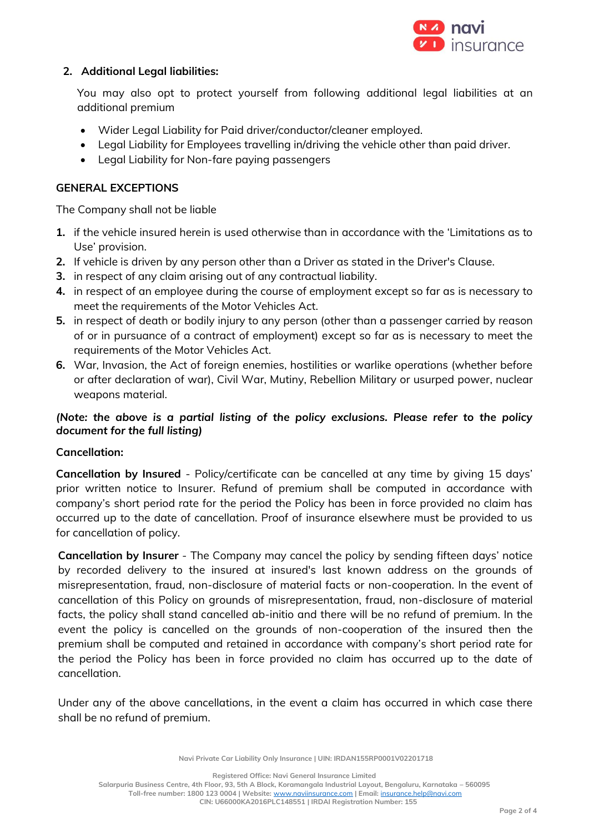

## **2. Additional Legal liabilities:**

You may also opt to protect yourself from following additional legal liabilities at an additional premium

- Wider Legal Liability for Paid driver/conductor/cleaner employed.
- Legal Liability for Employees travelling in/driving the vehicle other than paid driver.
- Legal Liability for Non-fare paying passengers

## **GENERAL EXCEPTIONS**

The Company shall not be liable

- **1.** if the vehicle insured herein is used otherwise than in accordance with the 'Limitations as to Use' provision.
- **2.** If vehicle is driven by any person other than a Driver as stated in the Driver's Clause.
- **3.** in respect of any claim arising out of any contractual liability.
- **4.** in respect of an employee during the course of employment except so far as is necessary to meet the requirements of the Motor Vehicles Act.
- **5.** in respect of death or bodily injury to any person (other than a passenger carried by reason of or in pursuance of a contract of employment) except so far as is necessary to meet the requirements of the Motor Vehicles Act.
- **6.** War, Invasion, the Act of foreign enemies, hostilities or warlike operations (whether before or after declaration of war), Civil War, Mutiny, Rebellion Military or usurped power, nuclear weapons material.

# *(Note: the above is a partial listing of the policy exclusions. Please refer to the policy document for the full listing)*

### **Cancellation:**

**Cancellation by Insured** - Policy/certificate can be cancelled at any time by giving 15 days' prior written notice to Insurer. Refund of premium shall be computed in accordance with company's short period rate for the period the Policy has been in force provided no claim has occurred up to the date of cancellation. Proof of insurance elsewhere must be provided to us for cancellation of policy.

**Cancellation by Insurer** - The Company may cancel the policy by sending fifteen days' notice by recorded delivery to the insured at insured's last known address on the grounds of misrepresentation, fraud, non-disclosure of material facts or non-cooperation. In the event of cancellation of this Policy on grounds of misrepresentation, fraud, non-disclosure of material facts, the policy shall stand cancelled ab-initio and there will be no refund of premium. In the event the policy is cancelled on the grounds of non-cooperation of the insured then the premium shall be computed and retained in accordance with company's short period rate for the period the Policy has been in force provided no claim has occurred up to the date of cancellation.

Under any of the above cancellations, in the event a claim has occurred in which case there shall be no refund of premium.

**Navi Private Car Liability Only Insurance | UIN: IRDAN155RP0001V02201718**

**Registered Office: Navi General Insurance Limited**

**Salarpuria Business Centre, 4th Floor, 93, 5th A Block, Koramangala Industrial Layout, Bengaluru, Karnataka – 560095**

**Toll-free number: 1800 123 0004 | Website:** [www.naviinsurance.com](http://www.naviinsurance.com/) **| Email:** [insurance.help@navi.com](mailto:insurance.help@navi.com) **CIN: U66000KA2016PLC148551 | IRDAI Registration Number: 155**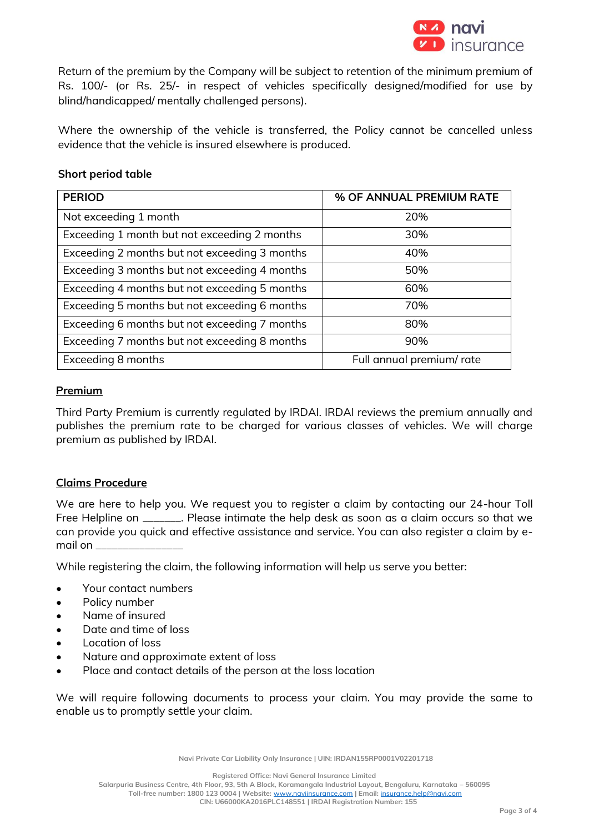

Return of the premium by the Company will be subject to retention of the minimum premium of Rs. 100/- (or Rs. 25/- in respect of vehicles specifically designed/modified for use by blind/handicapped/ mentally challenged persons).

Where the ownership of the vehicle is transferred, the Policy cannot be cancelled unless evidence that the vehicle is insured elsewhere is produced.

#### **Short period table**

| <b>PERIOD</b>                                 | % OF ANNUAL PREMIUM RATE |
|-----------------------------------------------|--------------------------|
| Not exceeding 1 month                         | 20%                      |
| Exceeding 1 month but not exceeding 2 months  | 30%                      |
| Exceeding 2 months but not exceeding 3 months | 40%                      |
| Exceeding 3 months but not exceeding 4 months | 50%                      |
| Exceeding 4 months but not exceeding 5 months | 60%                      |
| Exceeding 5 months but not exceeding 6 months | 70%                      |
| Exceeding 6 months but not exceeding 7 months | 80%                      |
| Exceeding 7 months but not exceeding 8 months | 90%                      |
| Exceeding 8 months                            | Full annual premium/rate |

#### **Premium**

Third Party Premium is currently regulated by IRDAI. IRDAI reviews the premium annually and publishes the premium rate to be charged for various classes of vehicles. We will charge premium as published by IRDAI.

### **Claims Procedure**

We are here to help you. We request you to register a claim by contacting our 24-hour Toll Free Helpline on \_\_\_\_\_\_\_. Please intimate the help desk as soon as a claim occurs so that we can provide you quick and effective assistance and service. You can also register a claim by email on \_\_\_\_\_\_\_\_\_\_\_\_\_\_\_\_

While registering the claim, the following information will help us serve you better:

- Your contact numbers
- Policy number
- Name of insured
- Date and time of loss
- Location of loss
- Nature and approximate extent of loss
- Place and contact details of the person at the loss location

We will require following documents to process your claim. You may provide the same to enable us to promptly settle your claim.

**Navi Private Car Liability Only Insurance | UIN: IRDAN155RP0001V02201718**

**Registered Office: Navi General Insurance Limited Salarpuria Business Centre, 4th Floor, 93, 5th A Block, Koramangala Industrial Layout, Bengaluru, Karnataka – 560095 Toll-free number: 1800 123 0004 | Website:** [www.naviinsurance.com](http://www.naviinsurance.com/) **| Email:** [insurance.help@navi.com](mailto:insurance.help@navi.com) **CIN: U66000KA2016PLC148551 | IRDAI Registration Number: 155**